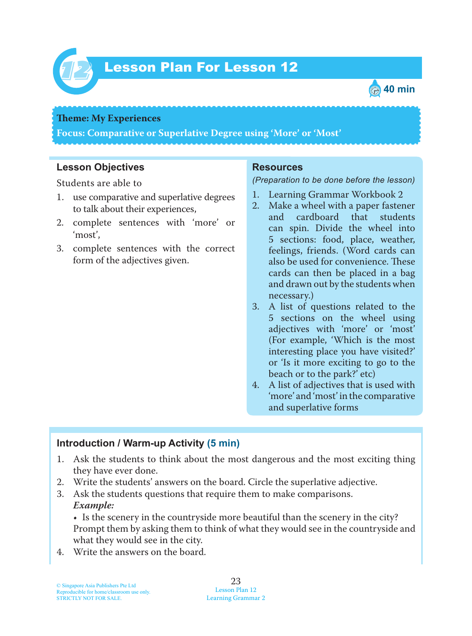

# Lesson Plan For Lesson 12 *12*



#### **Theme: My Experiences**

**Focus: Comparative or Superlative Degree using 'More' or 'Most'**

#### **Lesson Objectives**

Students are able to

- 1. use comparative and superlative degrees to talk about their experiences,
- 2. complete sentences with 'more' or 'most',
- 3. complete sentences with the correct form of the adjectives given.

#### **Resources**

#### *(Preparation to be done before the lesson)*

- 1. Learning Grammar Workbook 2
- 2. Make a wheel with a paper fastener<br>and cardboard that students cardboard can spin. Divide the wheel into 5 sections: food, place, weather, feelings, friends. (Word cards can also be used for convenience. These cards can then be placed in a bag and drawn out by the students when necessary.)
- 3. A list of questions related to the 5 sections on the wheel using adjectives with 'more' or 'most' (For example, 'Which is the most interesting place you have visited?' or 'Is it more exciting to go to the beach or to the park?' etc)
- 4. A list of adjectives that is used with 'more' and 'most' in the comparative and superlative forms

#### **Introduction / Warm-up Activity (5 min)**

- 1. Ask the students to think about the most dangerous and the most exciting thing they have ever done.
- 2. Write the students' answers on the board. Circle the superlative adjective.
- 3. Ask the students questions that require them to make comparisons.  *Example:*

• Is the scenery in the countryside more beautiful than the scenery in the city? Prompt them by asking them to think of what they would see in the countryside and what they would see in the city.

4. Write the answers on the board.